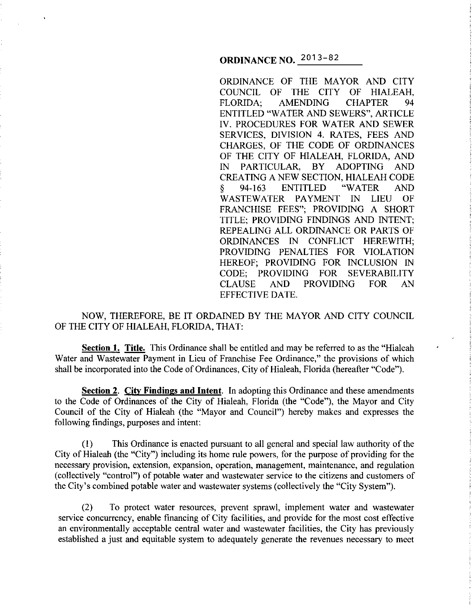**ORDINANCE NO.** 2013-82

ORDINANCE OF THE MAYOR AND CITY COUNCIL OF THE CITY OF HIALEAH,<br>FLORIDA: AMENDING CHAPTER 94 AMENDING CHAPTER 94 ENTITLED "WATER AND SEWERS", ARTICLE IV. PROCEDURES FOR WATER AND SEWER SERVICES, DIVISION 4. RATES, FEES AND CHARGES, OF THE CODE OF ORDINANCES OF THE CITY OF HIALEAH, FLORIDA, AND IN PARTICULAR, BY ADOPTING AND CREATING A NEW SECTION, HIALEAH CODE § 94-163 ENTITLED "WATER AND WASTEWATER PAYMENT IN LIEU OF FRANCHISE FEES"; PROVIDING A SHORT TITLE; PROVIDING FINDINGS AND INTENT; REPEALING ALL ORDINANCE OR PARTS OF ORDINANCES IN CONFLICT HEREWITH; PROVIDING PENALTIES FOR VIOLATION HEREOF; PROVIDING FOR INCLUSION IN CODE; PROVIDING FOR SEVERABILITY CLAUSE AND PROVIDING FOR AN EFFECTIVE DATE.

NOW, THEREFORE, BE IT ORDAINED BY THE MAYOR AND CITY COUNCIL OF THE CITY OF HIALEAH, FLORIDA, THAT:

**Section 1. Title.** This Ordinance shall be entitled and may be referred to as the "Hialeah Water and Wastewater Payment in Lieu of Franchise Fee Ordinance," the provisions of which shall be incorporated into the Code of Ordinances, City of Hialeah, Florida (hereafter "Code").

**Section 2. City Findings and Intent.** In adopting this Ordinance and these amendments to the Code of Ordinances of the City of Hialeah, Florida (the "Code"), the Mayor and City Council of the City of Hialeah (the "Mayor and Council") hereby makes and expresses the following findings, purposes and intent:

(I) This Ordinance is enacted pursuant to all general and special law authority of the City of Hialeah (the "City") including its home rule powers, for the purpose of providing for the necessary provision, extension, expansion, operation, management, maintenance, and regulation (collectively "control") of potable water and wastewater service to the citizens and customers of the City's combined potable water and wastewater systems (collectively the "City System").

(2) To protect water resources, prevent sprawl, implement water and wastewater service concurrency, enable financing of City facilities, and provide for the most cost effective an environmentally acceptable central water and wastewater facilities, the City has previously established a just and equitable system to adequately generate the revenues necessary to meet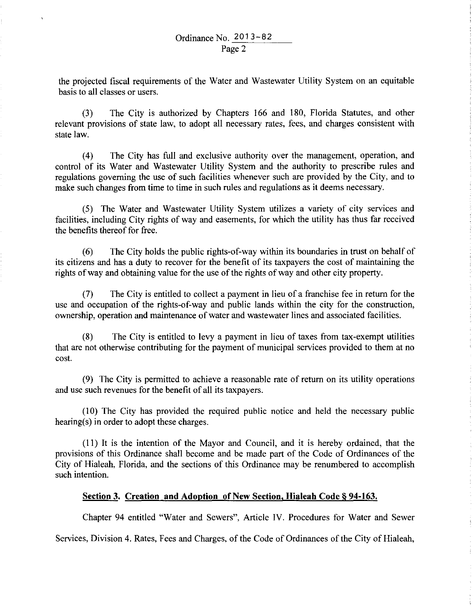the projected fiscal requirements of the Water and Wastewater Utility System on an equitable basis to all classes or users.

(3) The City is authorized by Chapters 166 and 180, Florida Statutes, and other relevant provisions of state law, to adopt all necessary rates, fees, and charges consistent with state law.

(4) The City has full and exclusive authority over the management, operation, and control of its Water and Wastewater Utility System and the authority to prescribe rules and regulations governing the use of such facilities whenever such are provided by the City, and to make such changes from time to time in such rules and regulations as it deems necessary.

(5) The Water and Wastewater Utility System utilizes a variety of city services and facilities, including City rights of way and easements, for which the utility has thus far received the benefits thereof for free.

(6) The City holds the public rights-of-way within its boundaries in trust on behalf of its citizens and has a duty to recover for the benefit of its taxpayers the cost of maintaining the rights of way and obtaining value for the use of the rights of way and other city property.

(7) The City is entitled to collect a payment in lieu of a franchise fee in return for the use and occupation of the rights-of-way and public lands within the city for the construction, ownership, operation and maintenance of water and wastewater lines and associated facilities.

(8) The City is entitled to levy a payment in lieu of taxes from tax-exempt utilities that are not otherwise contributing for the payment of municipal services provided to them at no cost.

(9) The City is permitted to achieve a reasonable rate of return on its utility operations and use such revenues for the benefit of all its taxpayers.

(10) The City has provided the required public notice and held the necessary public hearing(s) in order to adopt these charges.

(II) It is the intention of the Mayor and Council, and it is hereby ordained, that the provisions of this Ordinance shall become and be made part of the Code of Ordinances of the City of Hialeah, Florida, and the sections of this Ordinance may be renumbered to accomplish such intention.

# **Section 3. Creation and Adoption of New Section. Hialeah Code§ 94-163.**

Chapter 94 entitled "Water and Sewers", Article IV. Procedures for Water and Sewer

Services, Division 4. Rates, Fees and Charges, of the Code of Ordinances of the City of Hialeah,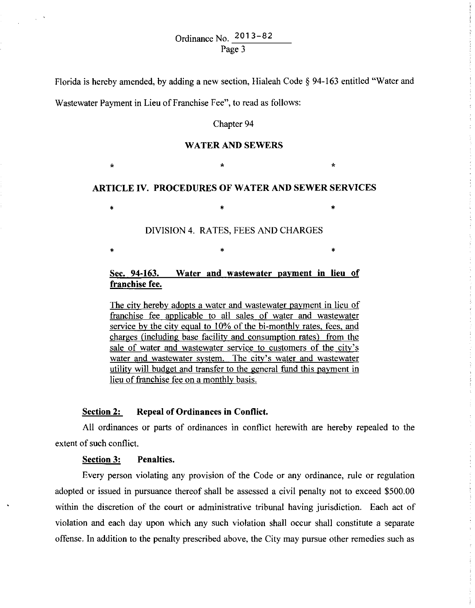Florida is hereby amended, by adding a new section, Hialeah Code§ 94-163 entitled "Water and

Wastewater Payment in Lieu of Franchise Fee", to read as follows:

### Chapter 94

### **WATER AND SEWERS**

 $\star$  \*  $\star$  \*  $\star$ 

**ARTICLE IV. PROCEDURES OF WATER AND SEWER SERVICES** 

• • •

 $\ast$   $\ast$   $\ast$ 

DIVISION 4. RATES, FEES AND CHARGES

# **Sec. 94-163. Water and wastewater payment in lieu of franchise fee.**

The city hereby adopts a water and wastewater payment in lieu of franchise fee applicable to all sales of water and wastewater service by the city equal to 10% of the bi-monthly rates, fees, and charges (including base facility and consumption rates) from the sale of water and wastewater service to customers of the city's water and wastewater system. The city's water and wastewater utility will budget and transfer to the general fund this payment in lieu of franchise fee on a monthly basis.

# **Section 2: Repeal of Ordinances in Conflict.**

All ordinances or parts of ordinances in conflict herewith are hereby repealed to the extent of such conflict.

#### **Section 3: Penalties.**

Every person violating any provision of the Code or any ordinance, rule or regulation adopted or issued in pursuance thereof shall be assessed a civil penalty not to exceed \$500.00 within the discretion of the court or administrative tribunal having jurisdiction. Each act of violation and each day upon which any such violation shall occur shall constitute a separate offense. In addition to the penalty prescribed above, the City may pursue other remedies such as